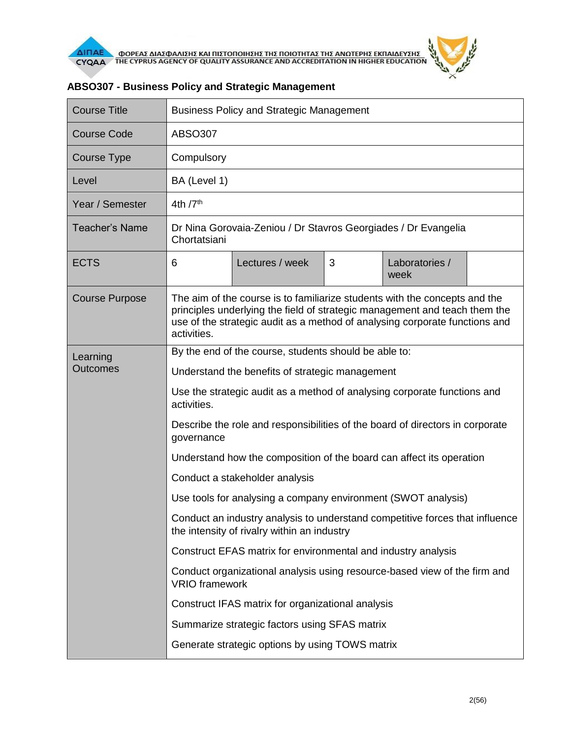

| <b>Course Title</b>   | <b>Business Policy and Strategic Management</b>                                                                                                                                                                                                        |                 |   |                        |  |  |  |
|-----------------------|--------------------------------------------------------------------------------------------------------------------------------------------------------------------------------------------------------------------------------------------------------|-----------------|---|------------------------|--|--|--|
| <b>Course Code</b>    | <b>ABSO307</b>                                                                                                                                                                                                                                         |                 |   |                        |  |  |  |
| <b>Course Type</b>    | Compulsory                                                                                                                                                                                                                                             |                 |   |                        |  |  |  |
| Level                 | BA (Level 1)                                                                                                                                                                                                                                           |                 |   |                        |  |  |  |
| Year / Semester       | 4th $7th$                                                                                                                                                                                                                                              |                 |   |                        |  |  |  |
| <b>Teacher's Name</b> | Dr Nina Gorovaia-Zeniou / Dr Stavros Georgiades / Dr Evangelia<br>Chortatsiani                                                                                                                                                                         |                 |   |                        |  |  |  |
| <b>ECTS</b>           | 6                                                                                                                                                                                                                                                      | Lectures / week | 3 | Laboratories /<br>week |  |  |  |
| <b>Course Purpose</b> | The aim of the course is to familiarize students with the concepts and the<br>principles underlying the field of strategic management and teach them the<br>use of the strategic audit as a method of analysing corporate functions and<br>activities. |                 |   |                        |  |  |  |
| Learning              | By the end of the course, students should be able to:                                                                                                                                                                                                  |                 |   |                        |  |  |  |
| <b>Outcomes</b>       | Understand the benefits of strategic management                                                                                                                                                                                                        |                 |   |                        |  |  |  |
|                       | Use the strategic audit as a method of analysing corporate functions and<br>activities.                                                                                                                                                                |                 |   |                        |  |  |  |
|                       | Describe the role and responsibilities of the board of directors in corporate<br>governance                                                                                                                                                            |                 |   |                        |  |  |  |
|                       | Understand how the composition of the board can affect its operation                                                                                                                                                                                   |                 |   |                        |  |  |  |
|                       | Conduct a stakeholder analysis                                                                                                                                                                                                                         |                 |   |                        |  |  |  |
|                       | Use tools for analysing a company environment (SWOT analysis)                                                                                                                                                                                          |                 |   |                        |  |  |  |
|                       | Conduct an industry analysis to understand competitive forces that influence<br>the intensity of rivalry within an industry                                                                                                                            |                 |   |                        |  |  |  |
|                       | Construct EFAS matrix for environmental and industry analysis                                                                                                                                                                                          |                 |   |                        |  |  |  |
|                       | Conduct organizational analysis using resource-based view of the firm and<br><b>VRIO</b> framework                                                                                                                                                     |                 |   |                        |  |  |  |
|                       | Construct IFAS matrix for organizational analysis                                                                                                                                                                                                      |                 |   |                        |  |  |  |
|                       | Summarize strategic factors using SFAS matrix                                                                                                                                                                                                          |                 |   |                        |  |  |  |
|                       | Generate strategic options by using TOWS matrix                                                                                                                                                                                                        |                 |   |                        |  |  |  |

## **ABSO307 - Business Policy and Strategic Management**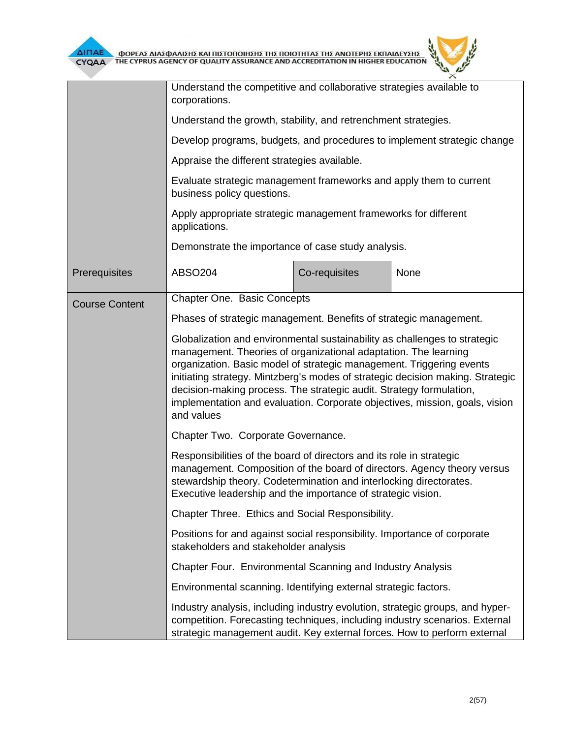

|                       | Understand the competitive and collaborative strategies available to<br>corporations.                                                                                                                                                                                                                                                                                                                                                                                      |               |      |  |  |  |
|-----------------------|----------------------------------------------------------------------------------------------------------------------------------------------------------------------------------------------------------------------------------------------------------------------------------------------------------------------------------------------------------------------------------------------------------------------------------------------------------------------------|---------------|------|--|--|--|
|                       | Understand the growth, stability, and retrenchment strategies.                                                                                                                                                                                                                                                                                                                                                                                                             |               |      |  |  |  |
|                       | Develop programs, budgets, and procedures to implement strategic change                                                                                                                                                                                                                                                                                                                                                                                                    |               |      |  |  |  |
|                       | Appraise the different strategies available.                                                                                                                                                                                                                                                                                                                                                                                                                               |               |      |  |  |  |
|                       | Evaluate strategic management frameworks and apply them to current<br>business policy questions.                                                                                                                                                                                                                                                                                                                                                                           |               |      |  |  |  |
|                       | Apply appropriate strategic management frameworks for different<br>applications.                                                                                                                                                                                                                                                                                                                                                                                           |               |      |  |  |  |
|                       | Demonstrate the importance of case study analysis.                                                                                                                                                                                                                                                                                                                                                                                                                         |               |      |  |  |  |
| Prerequisites         | <b>ABSO204</b>                                                                                                                                                                                                                                                                                                                                                                                                                                                             | Co-requisites | None |  |  |  |
| <b>Course Content</b> | <b>Chapter One. Basic Concepts</b>                                                                                                                                                                                                                                                                                                                                                                                                                                         |               |      |  |  |  |
|                       | Phases of strategic management. Benefits of strategic management.                                                                                                                                                                                                                                                                                                                                                                                                          |               |      |  |  |  |
|                       | Globalization and environmental sustainability as challenges to strategic<br>management. Theories of organizational adaptation. The learning<br>organization. Basic model of strategic management. Triggering events<br>initiating strategy. Mintzberg's modes of strategic decision making. Strategic<br>decision-making process. The strategic audit. Strategy formulation,<br>implementation and evaluation. Corporate objectives, mission, goals, vision<br>and values |               |      |  |  |  |
|                       | Chapter Two. Corporate Governance.                                                                                                                                                                                                                                                                                                                                                                                                                                         |               |      |  |  |  |
|                       | Responsibilities of the board of directors and its role in strategic<br>management. Composition of the board of directors. Agency theory versus<br>stewardship theory. Codetermination and interlocking directorates.<br>Executive leadership and the importance of strategic vision.                                                                                                                                                                                      |               |      |  |  |  |
|                       | Chapter Three. Ethics and Social Responsibility.                                                                                                                                                                                                                                                                                                                                                                                                                           |               |      |  |  |  |
|                       | Positions for and against social responsibility. Importance of corporate<br>stakeholders and stakeholder analysis                                                                                                                                                                                                                                                                                                                                                          |               |      |  |  |  |
|                       | Chapter Four. Environmental Scanning and Industry Analysis                                                                                                                                                                                                                                                                                                                                                                                                                 |               |      |  |  |  |
|                       | Environmental scanning. Identifying external strategic factors.                                                                                                                                                                                                                                                                                                                                                                                                            |               |      |  |  |  |
|                       | Industry analysis, including industry evolution, strategic groups, and hyper-<br>competition. Forecasting techniques, including industry scenarios. External<br>strategic management audit. Key external forces. How to perform external                                                                                                                                                                                                                                   |               |      |  |  |  |

ó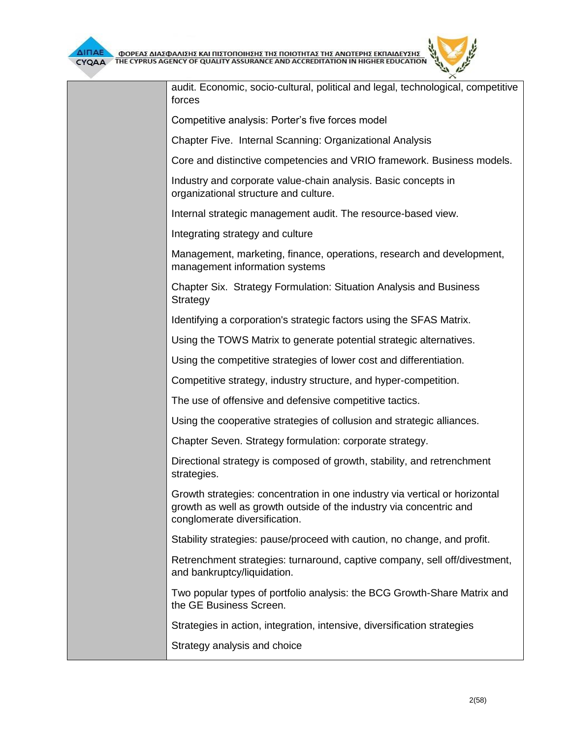